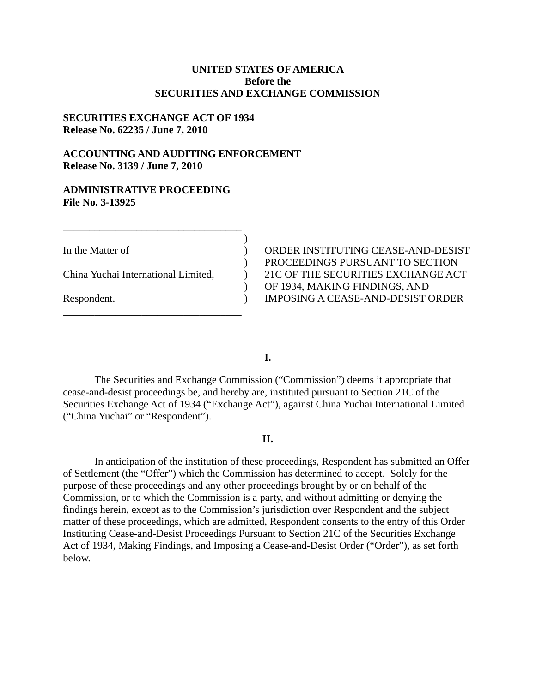# **UNITED STATES OF AMERICA Before the SECURITIES AND EXCHANGE COMMISSION**

## **SECURITIES EXCHANGE ACT OF 1934 Release No. 62235 / June 7, 2010**

# **ACCOUNTING AND AUDITING ENFORCEMENT Release No. 3139 / June 7, 2010**

### **ADMINISTRATIVE PROCEEDING File No. 3-13925**

\_\_\_\_\_\_\_\_\_\_\_\_\_\_\_\_\_\_\_\_\_\_\_\_\_\_\_\_\_\_\_\_\_\_

\_\_\_\_\_\_\_\_\_\_\_\_\_\_\_\_\_\_\_\_\_\_\_\_\_\_\_\_\_\_\_\_\_\_

In the Matter of ) ORDER INSTITUTING CEASE-AND-DESIST ) PROCEEDINGS PURSUANT TO SECTION China Yuchai International Limited, ) 21C OF THE SECURITIES EXCHANGE ACT ) OF 1934, MAKING FINDINGS, AND Respondent. 
Someonly and the UNPOSING A CEASE-AND-DESIST ORDER

**I.** 

)

The Securities and Exchange Commission ("Commission") deems it appropriate that cease-and-desist proceedings be, and hereby are, instituted pursuant to Section 21C of the Securities Exchange Act of 1934 ("Exchange Act"), against China Yuchai International Limited ("China Yuchai" or "Respondent").

## **II.**

In anticipation of the institution of these proceedings, Respondent has submitted an Offer of Settlement (the "Offer") which the Commission has determined to accept. Solely for the purpose of these proceedings and any other proceedings brought by or on behalf of the Commission, or to which the Commission is a party, and without admitting or denying the findings herein, except as to the Commission's jurisdiction over Respondent and the subject matter of these proceedings, which are admitted, Respondent consents to the entry of this Order Instituting Cease-and-Desist Proceedings Pursuant to Section 21C of the Securities Exchange Act of 1934, Making Findings, and Imposing a Cease-and-Desist Order ("Order"), as set forth below.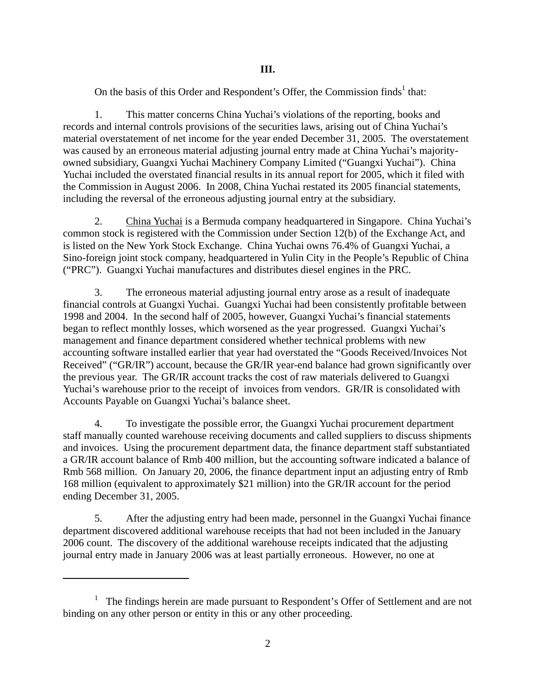On the basis of this Order and Respondent's Offer, the Commission finds<sup>1</sup> that:

1. This matter concerns China Yuchai's violations of the reporting, books and records and internal controls provisions of the securities laws, arising out of China Yuchai's material overstatement of net income for the year ended December 31, 2005. The overstatement was caused by an erroneous material adjusting journal entry made at China Yuchai's majorityowned subsidiary, Guangxi Yuchai Machinery Company Limited ("Guangxi Yuchai"). China Yuchai included the overstated financial results in its annual report for 2005, which it filed with the Commission in August 2006. In 2008, China Yuchai restated its 2005 financial statements, including the reversal of the erroneous adjusting journal entry at the subsidiary.

2. China Yuchai is a Bermuda company headquartered in Singapore. China Yuchai's common stock is registered with the Commission under Section 12(b) of the Exchange Act, and is listed on the New York Stock Exchange. China Yuchai owns 76.4% of Guangxi Yuchai, a Sino-foreign joint stock company, headquartered in Yulin City in the People's Republic of China ("PRC"). Guangxi Yuchai manufactures and distributes diesel engines in the PRC.

3. The erroneous material adjusting journal entry arose as a result of inadequate financial controls at Guangxi Yuchai. Guangxi Yuchai had been consistently profitable between 1998 and 2004. In the second half of 2005, however, Guangxi Yuchai's financial statements began to reflect monthly losses, which worsened as the year progressed. Guangxi Yuchai's management and finance department considered whether technical problems with new accounting software installed earlier that year had overstated the "Goods Received/Invoices Not Received" ("GR/IR") account, because the GR/IR year-end balance had grown significantly over the previous year. The GR/IR account tracks the cost of raw materials delivered to Guangxi Yuchai's warehouse prior to the receipt of invoices from vendors. GR/IR is consolidated with Accounts Payable on Guangxi Yuchai's balance sheet.

4. To investigate the possible error, the Guangxi Yuchai procurement department staff manually counted warehouse receiving documents and called suppliers to discuss shipments and invoices. Using the procurement department data, the finance department staff substantiated a GR/IR account balance of Rmb 400 million, but the accounting software indicated a balance of Rmb 568 million. On January 20, 2006, the finance department input an adjusting entry of Rmb 168 million (equivalent to approximately \$21 million) into the GR/IR account for the period ending December 31, 2005.

5. After the adjusting entry had been made, personnel in the Guangxi Yuchai finance department discovered additional warehouse receipts that had not been included in the January 2006 count. The discovery of the additional warehouse receipts indicated that the adjusting journal entry made in January 2006 was at least partially erroneous. However, no one at

1

<sup>&</sup>lt;sup>1</sup> The findings herein are made pursuant to Respondent's Offer of Settlement and are not binding on any other person or entity in this or any other proceeding.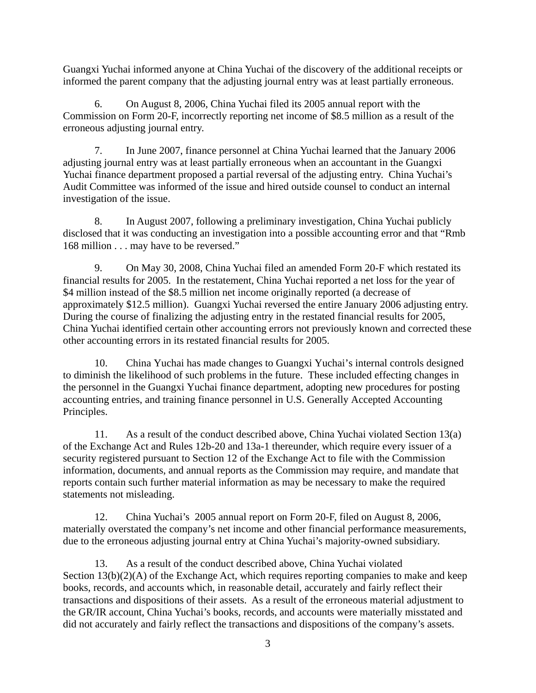Guangxi Yuchai informed anyone at China Yuchai of the discovery of the additional receipts or informed the parent company that the adjusting journal entry was at least partially erroneous.

erroneous adjusting journal entry. 6. On August 8, 2006, China Yuchai filed its 2005 annual report with the Commission on Form 20-F, incorrectly reporting net income of \$8.5 million as a result of the

7. In June 2007, finance personnel at China Yuchai learned that the January 2006 adjusting journal entry was at least partially erroneous when an accountant in the Guangxi Yuchai finance department proposed a partial reversal of the adjusting entry. China Yuchai's Audit Committee was informed of the issue and hired outside counsel to conduct an internal investigation of the issue.

8. In August 2007, following a preliminary investigation, China Yuchai publicly disclosed that it was conducting an investigation into a possible accounting error and that "Rmb 168 million . . . may have to be reversed."

approximately \$12.5 million). Guangxi Yuchai reversed the entire January 2006 adjusting entry. 9. On May 30, 2008, China Yuchai filed an amended Form 20-F which restated its financial results for 2005. In the restatement, China Yuchai reported a net loss for the year of \$4 million instead of the \$8.5 million net income originally reported (a decrease of During the course of finalizing the adjusting entry in the restated financial results for 2005, China Yuchai identified certain other accounting errors not previously known and corrected these other accounting errors in its restated financial results for 2005.

10. China Yuchai has made changes to Guangxi Yuchai's internal controls designed to diminish the likelihood of such problems in the future. These included effecting changes in the personnel in the Guangxi Yuchai finance department, adopting new procedures for posting accounting entries, and training finance personnel in U.S. Generally Accepted Accounting Principles.

11. As a result of the conduct described above, China Yuchai violated Section 13(a) of the Exchange Act and Rules 12b-20 and 13a-1 thereunder, which require every issuer of a security registered pursuant to Section 12 of the Exchange Act to file with the Commission information, documents, and annual reports as the Commission may require, and mandate that reports contain such further material information as may be necessary to make the required statements not misleading.

12. China Yuchai's 2005 annual report on Form 20-F, filed on August 8, 2006, materially overstated the company's net income and other financial performance measurements, due to the erroneous adjusting journal entry at China Yuchai's majority-owned subsidiary.

13. As a result of the conduct described above, China Yuchai violated Section 13(b)(2)(A) of the Exchange Act, which requires reporting companies to make and keep books, records, and accounts which, in reasonable detail, accurately and fairly reflect their transactions and dispositions of their assets. As a result of the erroneous material adjustment to the GR/IR account, China Yuchai's books, records, and accounts were materially misstated and did not accurately and fairly reflect the transactions and dispositions of the company's assets.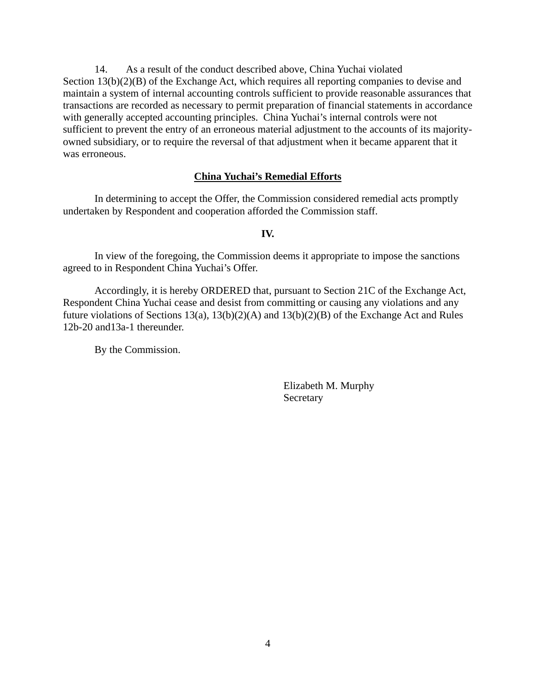14. As a result of the conduct described above, China Yuchai violated Section 13(b)(2)(B) of the Exchange Act, which requires all reporting companies to devise and maintain a system of internal accounting controls sufficient to provide reasonable assurances that transactions are recorded as necessary to permit preparation of financial statements in accordance with generally accepted accounting principles. China Yuchai's internal controls were not sufficient to prevent the entry of an erroneous material adjustment to the accounts of its majorityowned subsidiary, or to require the reversal of that adjustment when it became apparent that it was erroneous.

## **China Yuchai's Remedial Efforts**

In determining to accept the Offer, the Commission considered remedial acts promptly undertaken by Respondent and cooperation afforded the Commission staff.

**IV.** 

In view of the foregoing, the Commission deems it appropriate to impose the sanctions agreed to in Respondent China Yuchai's Offer.

Accordingly, it is hereby ORDERED that, pursuant to Section 21C of the Exchange Act, Respondent China Yuchai cease and desist from committing or causing any violations and any future violations of Sections 13(a), 13(b)(2)(A) and 13(b)(2)(B) of the Exchange Act and Rules 12b-20 and13a-1 thereunder.

By the Commission.

Secretary Secretary Elizabeth M. Murphy